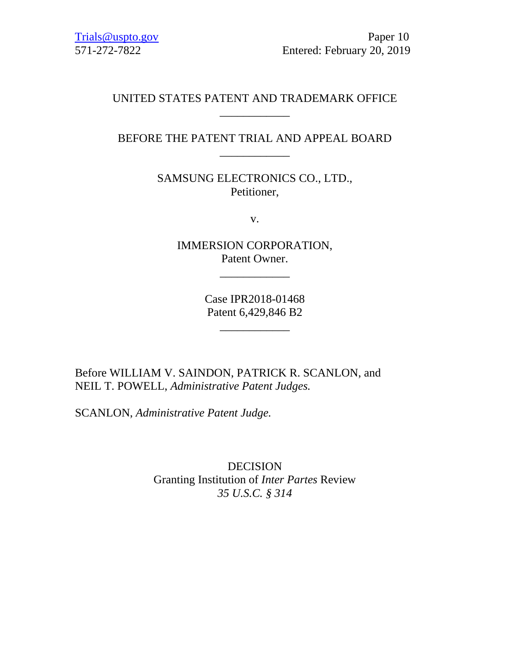# UNITED STATES PATENT AND TRADEMARK OFFICE \_\_\_\_\_\_\_\_\_\_\_\_

# BEFORE THE PATENT TRIAL AND APPEAL BOARD \_\_\_\_\_\_\_\_\_\_\_\_

SAMSUNG ELECTRONICS CO., LTD., Petitioner,

v.

IMMERSION CORPORATION, Patent Owner.

\_\_\_\_\_\_\_\_\_\_\_\_

Case IPR2018-01468 Patent 6,429,846 B2

\_\_\_\_\_\_\_\_\_\_\_\_

Before WILLIAM V. SAINDON, PATRICK R. SCANLON, and NEIL T. POWELL, *Administrative Patent Judges.*

SCANLON, *Administrative Patent Judge.*

DECISION Granting Institution of *Inter Partes* Review *35 U.S.C. § 314*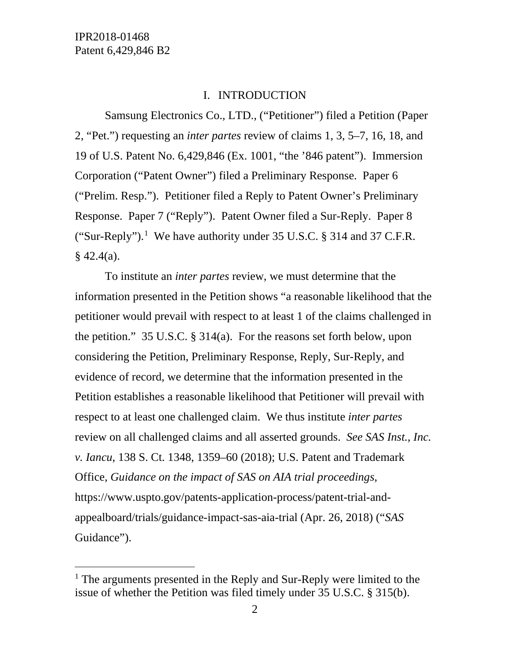#### I. INTRODUCTION

Samsung Electronics Co., LTD., ("Petitioner") filed a Petition (Paper 2, "Pet.") requesting an *inter partes* review of claims 1, 3, 5–7, 16, 18, and 19 of U.S. Patent No. 6,429,846 (Ex. 1001, "the '846 patent"). Immersion Corporation ("Patent Owner") filed a Preliminary Response. Paper 6 ("Prelim. Resp."). Petitioner filed a Reply to Patent Owner's Preliminary Response. Paper 7 ("Reply"). Patent Owner filed a Sur-Reply. Paper 8 ("Sur-Reply").<sup>[1](#page-1-0)</sup> We have authority under 35 U.S.C. § 314 and 37 C.F.R.  $§$  42.4(a).

To institute an *inter partes* review, we must determine that the information presented in the Petition shows "a reasonable likelihood that the petitioner would prevail with respect to at least 1 of the claims challenged in the petition." 35 U.S.C. § 314(a). For the reasons set forth below, upon considering the Petition, Preliminary Response, Reply, Sur-Reply, and evidence of record, we determine that the information presented in the Petition establishes a reasonable likelihood that Petitioner will prevail with respect to at least one challenged claim. We thus institute *inter partes*  review on all challenged claims and all asserted grounds. *See SAS Inst., Inc. v. Iancu*, 138 S. Ct. 1348, 1359–60 (2018); U.S. Patent and Trademark Office, *Guidance on the impact of SAS on AIA trial proceedings*, https://www.uspto.gov/patents-application-process/patent-trial-andappealboard/trials/guidance-impact-sas-aia-trial (Apr. 26, 2018) ("*SAS*  Guidance").

<span id="page-1-0"></span><sup>&</sup>lt;sup>1</sup> The arguments presented in the Reply and Sur-Reply were limited to the issue of whether the Petition was filed timely under 35 U.S.C. § 315(b).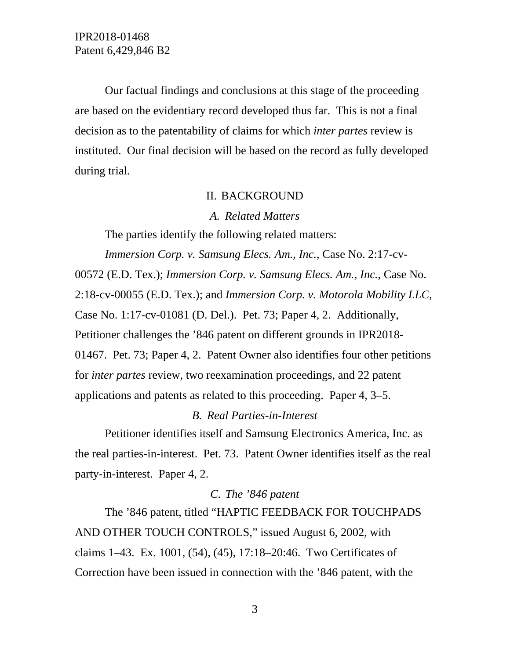IPR2018-01468 Patent 6,429,846 B2

Our factual findings and conclusions at this stage of the proceeding are based on the evidentiary record developed thus far. This is not a final decision as to the patentability of claims for which *inter partes* review is instituted. Our final decision will be based on the record as fully developed during trial.

#### II. BACKGROUND

*A. Related Matters*

The parties identify the following related matters:

*Immersion Corp. v. Samsung Elecs. Am., Inc.*, Case No. 2:17-cv-00572 (E.D. Tex.); *Immersion Corp. v. Samsung Elecs. Am., Inc.*, Case No. 2:18-cv-00055 (E.D. Tex.); and *Immersion Corp. v. Motorola Mobility LLC*, Case No. 1:17-cv-01081 (D. Del.). Pet. 73; Paper 4, 2. Additionally, Petitioner challenges the '846 patent on different grounds in IPR2018- 01467. Pet. 73; Paper 4, 2. Patent Owner also identifies four other petitions for *inter partes* review, two reexamination proceedings, and 22 patent applications and patents as related to this proceeding. Paper 4, 3–5.

### *B. Real Parties-in-Interest*

Petitioner identifies itself and Samsung Electronics America, Inc. as the real parties-in-interest. Pet. 73. Patent Owner identifies itself as the real party-in-interest. Paper 4, 2.

## *C. The '846 patent*

The '846 patent, titled "HAPTIC FEEDBACK FOR TOUCHPADS AND OTHER TOUCH CONTROLS," issued August 6, 2002, with claims 1–43. Ex. 1001, (54), (45), 17:18–20:46. Two Certificates of Correction have been issued in connection with the '846 patent, with the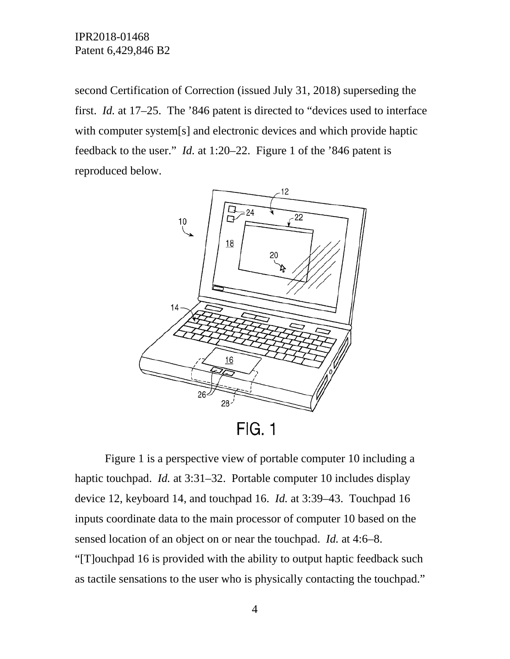IPR2018-01468 Patent 6,429,846 B2

second Certification of Correction (issued July 31, 2018) superseding the first. *Id.* at 17–25. The '846 patent is directed to "devices used to interface with computer system[s] and electronic devices and which provide haptic feedback to the user." *Id.* at 1:20–22. Figure 1 of the '846 patent is reproduced below.



Figure 1 is a perspective view of portable computer 10 including a haptic touchpad. *Id.* at 3:31–32. Portable computer 10 includes display device 12, keyboard 14, and touchpad 16. *Id.* at 3:39–43. Touchpad 16 inputs coordinate data to the main processor of computer 10 based on the sensed location of an object on or near the touchpad. *Id.* at 4:6–8. "[T]ouchpad 16 is provided with the ability to output haptic feedback such as tactile sensations to the user who is physically contacting the touchpad."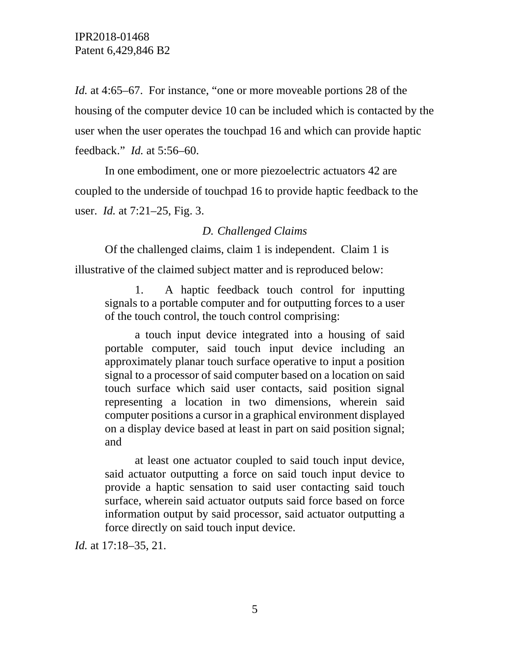*Id.* at 4:65–67. For instance, "one or more moveable portions 28 of the housing of the computer device 10 can be included which is contacted by the user when the user operates the touchpad 16 and which can provide haptic feedback." *Id.* at 5:56–60.

In one embodiment, one or more piezoelectric actuators 42 are coupled to the underside of touchpad 16 to provide haptic feedback to the user. *Id.* at 7:21–25, Fig. 3.

### *D. Challenged Claims*

Of the challenged claims, claim 1 is independent. Claim 1 is illustrative of the claimed subject matter and is reproduced below:

1. A haptic feedback touch control for inputting signals to a portable computer and for outputting forces to a user of the touch control, the touch control comprising:

a touch input device integrated into a housing of said portable computer, said touch input device including an approximately planar touch surface operative to input a position signal to a processor of said computer based on a location on said touch surface which said user contacts, said position signal representing a location in two dimensions, wherein said computer positions a cursor in a graphical environment displayed on a display device based at least in part on said position signal; and

at least one actuator coupled to said touch input device, said actuator outputting a force on said touch input device to provide a haptic sensation to said user contacting said touch surface, wherein said actuator outputs said force based on force information output by said processor, said actuator outputting a force directly on said touch input device.

*Id.* at 17:18–35, 21.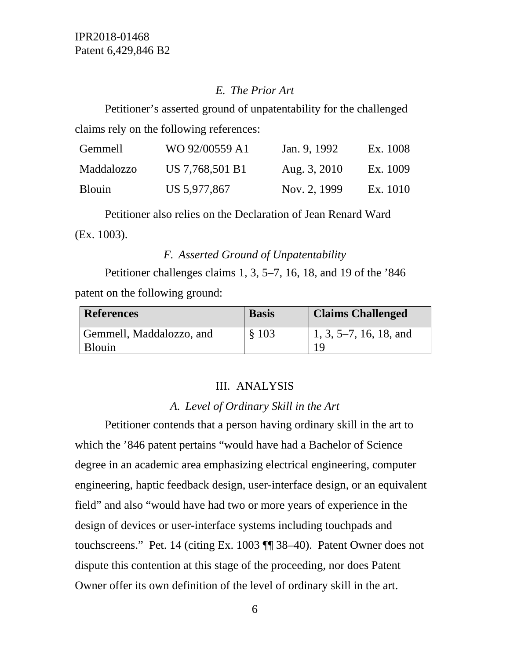## *E. The Prior Art*

Petitioner's asserted ground of unpatentability for the challenged claims rely on the following references:

| Gemmell       | WO 92/00559 A1  | Jan. 9, 1992 | Ex. 1008 |
|---------------|-----------------|--------------|----------|
| Maddalozzo    | US 7,768,501 B1 | Aug. 3, 2010 | Ex. 1009 |
| <b>Blouin</b> | US 5,977,867    | Nov. 2, 1999 | Ex. 1010 |

Petitioner also relies on the Declaration of Jean Renard Ward (Ex. 1003).

## *F. Asserted Ground of Unpatentability*

Petitioner challenges claims 1, 3, 5–7, 16, 18, and 19 of the '846 patent on the following ground:

| <b>References</b>        | <b>Basis</b> | <b>Claims Challenged</b>       |
|--------------------------|--------------|--------------------------------|
| Gemmell, Maddalozzo, and | \$103        | $\vert 1, 3, 5-7, 16, 18,$ and |
| <b>Blouin</b>            |              | 1 Q                            |

### III. ANALYSIS

## *A. Level of Ordinary Skill in the Art*

Petitioner contends that a person having ordinary skill in the art to which the '846 patent pertains "would have had a Bachelor of Science degree in an academic area emphasizing electrical engineering, computer engineering, haptic feedback design, user-interface design, or an equivalent field" and also "would have had two or more years of experience in the design of devices or user-interface systems including touchpads and touchscreens." Pet. 14 (citing Ex. 1003 ¶¶ 38–40). Patent Owner does not dispute this contention at this stage of the proceeding, nor does Patent Owner offer its own definition of the level of ordinary skill in the art.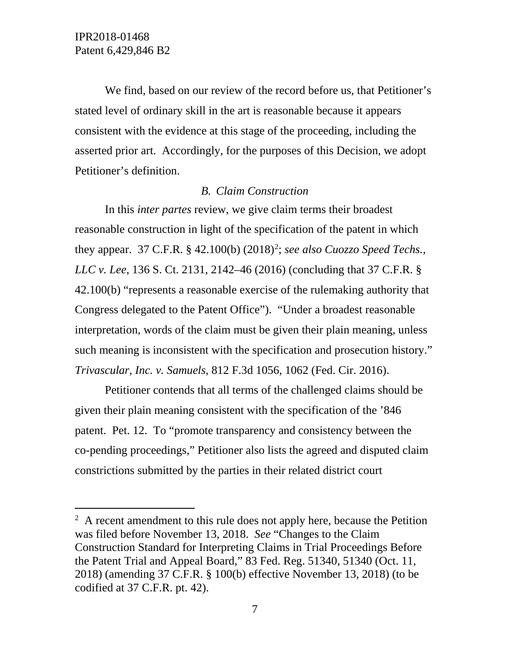We find, based on our review of the record before us, that Petitioner's stated level of ordinary skill in the art is reasonable because it appears consistent with the evidence at this stage of the proceeding, including the asserted prior art. Accordingly, for the purposes of this Decision, we adopt Petitioner's definition.

#### *B. Claim Construction*

In this *inter partes* review, we give claim terms their broadest reasonable construction in light of the specification of the patent in which they appear. 37 C.F.R. § 4[2](#page-6-0).100(b) (2018)<sup>2</sup>; *see also Cuozzo Speed Techs.*, *LLC v. Lee*, 136 S. Ct. 2131, 2142–46 (2016) (concluding that 37 C.F.R. § 42.100(b) "represents a reasonable exercise of the rulemaking authority that Congress delegated to the Patent Office"). "Under a broadest reasonable interpretation, words of the claim must be given their plain meaning, unless such meaning is inconsistent with the specification and prosecution history." *Trivascular, Inc. v. Samuels*, 812 F.3d 1056, 1062 (Fed. Cir. 2016).

Petitioner contends that all terms of the challenged claims should be given their plain meaning consistent with the specification of the '846 patent. Pet. 12. To "promote transparency and consistency between the co-pending proceedings," Petitioner also lists the agreed and disputed claim constrictions submitted by the parties in their related district court

<span id="page-6-0"></span> $\frac{1}{2}$  $A$  recent amendment to this rule does not apply here, because the Petition was filed before November 13, 2018. *See* "Changes to the Claim Construction Standard for Interpreting Claims in Trial Proceedings Before the Patent Trial and Appeal Board," 83 Fed. Reg. 51340, 51340 (Oct. 11, 2018) (amending 37 C.F.R. § 100(b) effective November 13, 2018) (to be codified at 37 C.F.R. pt. 42).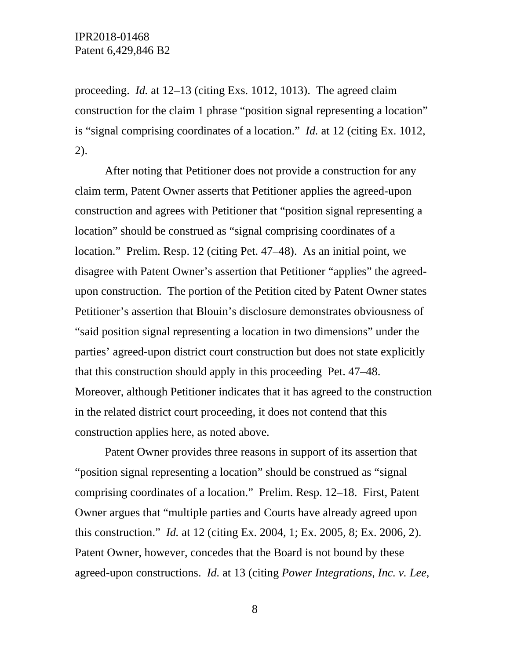proceeding. *Id.* at 12–13 (citing Exs. 1012, 1013). The agreed claim construction for the claim 1 phrase "position signal representing a location" is "signal comprising coordinates of a location." *Id.* at 12 (citing Ex. 1012, 2).

After noting that Petitioner does not provide a construction for any claim term, Patent Owner asserts that Petitioner applies the agreed-upon construction and agrees with Petitioner that "position signal representing a location" should be construed as "signal comprising coordinates of a location." Prelim. Resp. 12 (citing Pet. 47–48). As an initial point, we disagree with Patent Owner's assertion that Petitioner "applies" the agreedupon construction. The portion of the Petition cited by Patent Owner states Petitioner's assertion that Blouin's disclosure demonstrates obviousness of "said position signal representing a location in two dimensions" under the parties' agreed-upon district court construction but does not state explicitly that this construction should apply in this proceeding Pet. 47–48. Moreover, although Petitioner indicates that it has agreed to the construction in the related district court proceeding, it does not contend that this construction applies here, as noted above.

Patent Owner provides three reasons in support of its assertion that "position signal representing a location" should be construed as "signal comprising coordinates of a location." Prelim. Resp. 12–18. First, Patent Owner argues that "multiple parties and Courts have already agreed upon this construction." *Id.* at 12 (citing Ex. 2004, 1; Ex. 2005, 8; Ex. 2006, 2). Patent Owner, however, concedes that the Board is not bound by these agreed-upon constructions. *Id.* at 13 (citing *Power Integrations, Inc. v. Lee*,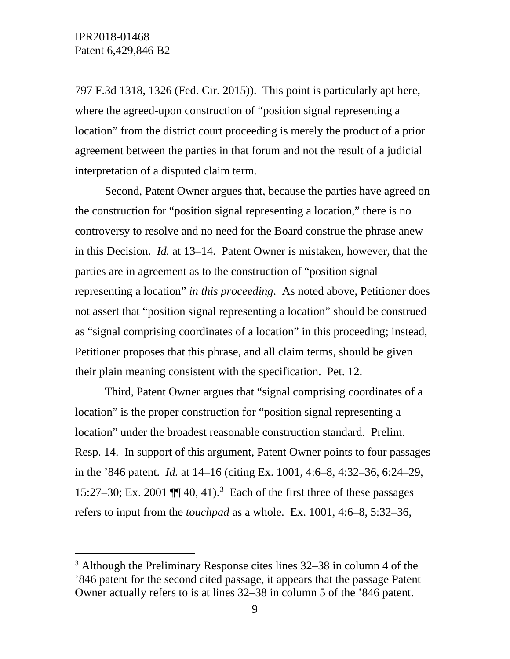797 F.3d 1318, 1326 (Fed. Cir. 2015)). This point is particularly apt here, where the agreed-upon construction of "position signal representing a location" from the district court proceeding is merely the product of a prior agreement between the parties in that forum and not the result of a judicial interpretation of a disputed claim term.

Second, Patent Owner argues that, because the parties have agreed on the construction for "position signal representing a location," there is no controversy to resolve and no need for the Board construe the phrase anew in this Decision. *Id.* at 13–14. Patent Owner is mistaken, however, that the parties are in agreement as to the construction of "position signal representing a location" *in this proceeding*. As noted above, Petitioner does not assert that "position signal representing a location" should be construed as "signal comprising coordinates of a location" in this proceeding; instead, Petitioner proposes that this phrase, and all claim terms, should be given their plain meaning consistent with the specification. Pet. 12.

Third, Patent Owner argues that "signal comprising coordinates of a location" is the proper construction for "position signal representing a location" under the broadest reasonable construction standard. Prelim. Resp. 14. In support of this argument, Patent Owner points to four passages in the '846 patent. *Id.* at 14–16 (citing Ex. 1001, 4:6–8, 4:32–36, 6:24–29, 15:27–[3](#page-8-0)0; Ex. 2001  $\P$  40, 41).<sup>3</sup> Each of the first three of these passages refers to input from the *touchpad* as a whole. Ex. 1001, 4:6–8, 5:32–36,

<span id="page-8-0"></span> <sup>3</sup> Although the Preliminary Response cites lines 32–38 in column 4 of the '846 patent for the second cited passage, it appears that the passage Patent Owner actually refers to is at lines 32–38 in column 5 of the '846 patent.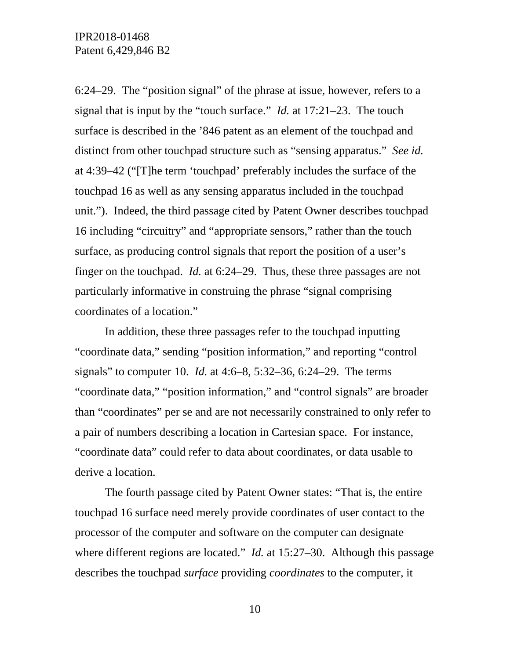6:24–29. The "position signal" of the phrase at issue, however, refers to a signal that is input by the "touch surface." *Id.* at 17:21–23. The touch surface is described in the '846 patent as an element of the touchpad and distinct from other touchpad structure such as "sensing apparatus." *See id.* at 4:39–42 ("[T]he term 'touchpad' preferably includes the surface of the touchpad 16 as well as any sensing apparatus included in the touchpad unit."). Indeed, the third passage cited by Patent Owner describes touchpad 16 including "circuitry" and "appropriate sensors," rather than the touch surface, as producing control signals that report the position of a user's finger on the touchpad. *Id.* at 6:24–29. Thus, these three passages are not particularly informative in construing the phrase "signal comprising coordinates of a location."

In addition, these three passages refer to the touchpad inputting "coordinate data," sending "position information," and reporting "control signals" to computer 10. *Id.* at 4:6–8, 5:32–36, 6:24–29. The terms "coordinate data," "position information," and "control signals" are broader than "coordinates" per se and are not necessarily constrained to only refer to a pair of numbers describing a location in Cartesian space. For instance, "coordinate data" could refer to data about coordinates, or data usable to derive a location.

The fourth passage cited by Patent Owner states: "That is, the entire touchpad 16 surface need merely provide coordinates of user contact to the processor of the computer and software on the computer can designate where different regions are located." *Id.* at 15:27–30. Although this passage describes the touchpad *surface* providing *coordinates* to the computer, it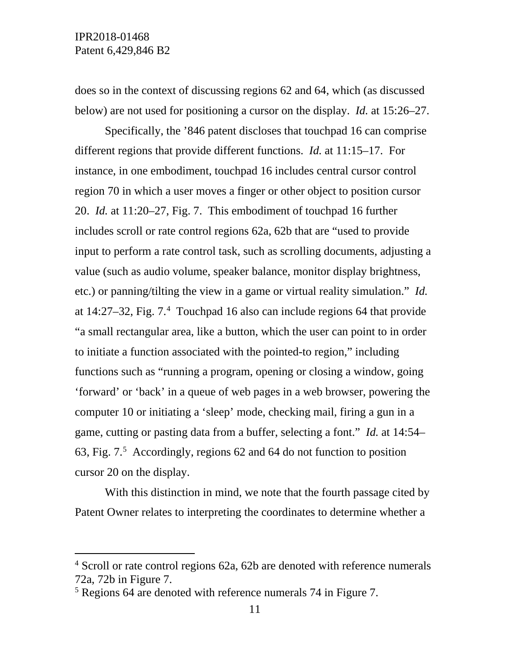does so in the context of discussing regions 62 and 64, which (as discussed below) are not used for positioning a cursor on the display. *Id.* at 15:26–27.

Specifically, the '846 patent discloses that touchpad 16 can comprise different regions that provide different functions. *Id.* at 11:15–17. For instance, in one embodiment, touchpad 16 includes central cursor control region 70 in which a user moves a finger or other object to position cursor 20. *Id.* at 11:20–27, Fig. 7. This embodiment of touchpad 16 further includes scroll or rate control regions 62a, 62b that are "used to provide input to perform a rate control task, such as scrolling documents, adjusting a value (such as audio volume, speaker balance, monitor display brightness, etc.) or panning/tilting the view in a game or virtual reality simulation." *Id.* at 14:27–32, Fig. 7.[4](#page-10-0) Touchpad 16 also can include regions 64 that provide "a small rectangular area, like a button, which the user can point to in order to initiate a function associated with the pointed-to region," including functions such as "running a program, opening or closing a window, going 'forward' or 'back' in a queue of web pages in a web browser, powering the computer 10 or initiating a 'sleep' mode, checking mail, firing a gun in a game, cutting or pasting data from a buffer, selecting a font." *Id.* at 14:54– 63, Fig. 7. [5](#page-10-1) Accordingly, regions 62 and 64 do not function to position cursor 20 on the display.

With this distinction in mind, we note that the fourth passage cited by Patent Owner relates to interpreting the coordinates to determine whether a

<span id="page-10-0"></span> $4$  Scroll or rate control regions 62a, 62b are denoted with reference numerals 72a, 72b in Figure 7.

<span id="page-10-1"></span><sup>5</sup> Regions 64 are denoted with reference numerals 74 in Figure 7.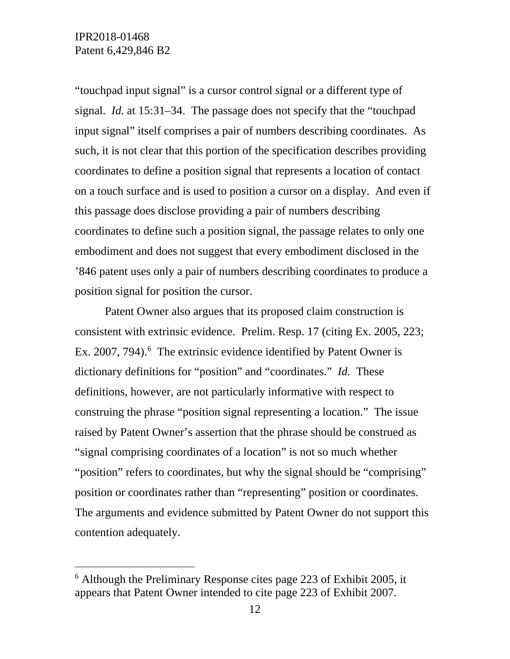"touchpad input signal" is a cursor control signal or a different type of signal. *Id.* at 15:31–34. The passage does not specify that the "touchpad input signal" itself comprises a pair of numbers describing coordinates. As such, it is not clear that this portion of the specification describes providing coordinates to define a position signal that represents a location of contact on a touch surface and is used to position a cursor on a display. And even if this passage does disclose providing a pair of numbers describing coordinates to define such a position signal, the passage relates to only one embodiment and does not suggest that every embodiment disclosed in the '846 patent uses only a pair of numbers describing coordinates to produce a position signal for position the cursor.

Patent Owner also argues that its proposed claim construction is consistent with extrinsic evidence. Prelim. Resp. 17 (citing Ex. 2005, 223; Ex. 2007, 794).<sup>[6](#page-11-0)</sup> The extrinsic evidence identified by Patent Owner is dictionary definitions for "position" and "coordinates." *Id.* These definitions, however, are not particularly informative with respect to construing the phrase "position signal representing a location." The issue raised by Patent Owner's assertion that the phrase should be construed as "signal comprising coordinates of a location" is not so much whether "position" refers to coordinates, but why the signal should be "comprising" position or coordinates rather than "representing" position or coordinates. The arguments and evidence submitted by Patent Owner do not support this contention adequately.

<span id="page-11-0"></span> $6$  Although the Preliminary Response cites page 223 of Exhibit 2005, it appears that Patent Owner intended to cite page 223 of Exhibit 2007.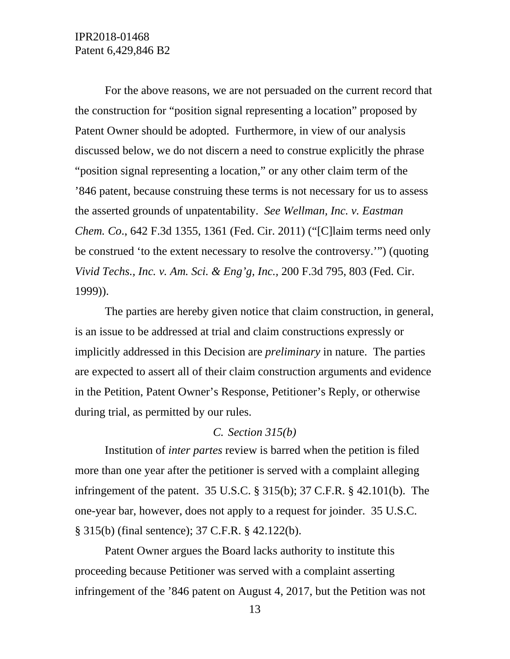IPR2018-01468 Patent 6,429,846 B2

For the above reasons, we are not persuaded on the current record that the construction for "position signal representing a location" proposed by Patent Owner should be adopted. Furthermore, in view of our analysis discussed below, we do not discern a need to construe explicitly the phrase "position signal representing a location," or any other claim term of the '846 patent, because construing these terms is not necessary for us to assess the asserted grounds of unpatentability. *See Wellman, Inc. v. Eastman Chem. Co*., 642 F.3d 1355, 1361 (Fed. Cir. 2011) ("[C]laim terms need only be construed 'to the extent necessary to resolve the controversy.'") (quoting *Vivid Techs., Inc. v. Am. Sci. & Eng'g, Inc.,* 200 F.3d 795, 803 (Fed. Cir. 1999)).

The parties are hereby given notice that claim construction, in general, is an issue to be addressed at trial and claim constructions expressly or implicitly addressed in this Decision are *preliminary* in nature. The parties are expected to assert all of their claim construction arguments and evidence in the Petition, Patent Owner's Response, Petitioner's Reply, or otherwise during trial, as permitted by our rules.

#### *C. Section 315(b)*

Institution of *inter partes* review is barred when the petition is filed more than one year after the petitioner is served with a complaint alleging infringement of the patent. 35 U.S.C. § 315(b); 37 C.F.R. § 42.101(b). The one-year bar, however, does not apply to a request for joinder. 35 U.S.C. § 315(b) (final sentence); 37 C.F.R. § 42.122(b).

Patent Owner argues the Board lacks authority to institute this proceeding because Petitioner was served with a complaint asserting infringement of the '846 patent on August 4, 2017, but the Petition was not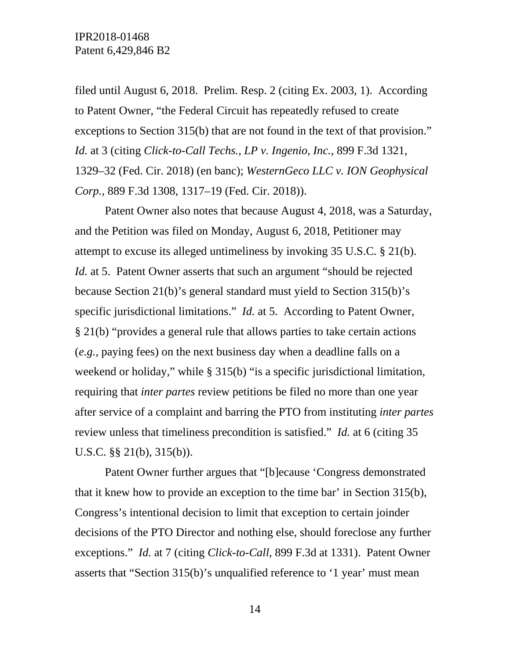filed until August 6, 2018. Prelim. Resp. 2 (citing Ex. 2003, 1). According to Patent Owner, "the Federal Circuit has repeatedly refused to create exceptions to Section 315(b) that are not found in the text of that provision." *Id.* at 3 (citing *Click-to-Call Techs., LP v. Ingenio, Inc.*, 899 F.3d 1321, 1329–32 (Fed. Cir. 2018) (en banc); *WesternGeco LLC v. ION Geophysical Corp.*, 889 F.3d 1308, 1317–19 (Fed. Cir. 2018)).

Patent Owner also notes that because August 4, 2018, was a Saturday, and the Petition was filed on Monday, August 6, 2018, Petitioner may attempt to excuse its alleged untimeliness by invoking 35 U.S.C. § 21(b). *Id.* at 5. Patent Owner asserts that such an argument "should be rejected because Section 21(b)'s general standard must yield to Section 315(b)'s specific jurisdictional limitations." *Id.* at 5. According to Patent Owner, § 21(b) "provides a general rule that allows parties to take certain actions (*e.g.*, paying fees) on the next business day when a deadline falls on a weekend or holiday," while § 315(b) "is a specific jurisdictional limitation, requiring that *inter partes* review petitions be filed no more than one year after service of a complaint and barring the PTO from instituting *inter partes*  review unless that timeliness precondition is satisfied." *Id.* at 6 (citing 35 U.S.C. §§ 21(b), 315(b)).

Patent Owner further argues that "[b]ecause 'Congress demonstrated that it knew how to provide an exception to the time bar' in Section 315(b), Congress's intentional decision to limit that exception to certain joinder decisions of the PTO Director and nothing else, should foreclose any further exceptions." *Id.* at 7 (citing *Click-to-Call*, 899 F.3d at 1331). Patent Owner asserts that "Section 315(b)'s unqualified reference to '1 year' must mean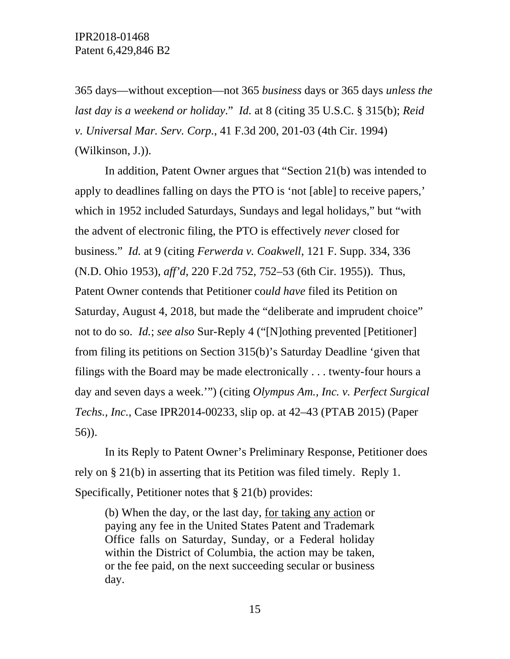365 days—without exception—not 365 *business* days or 365 days *unless the last day is a weekend or holiday*." *Id.* at 8 (citing 35 U.S.C. § 315(b); *Reid v. Universal Mar. Serv. Corp.*, 41 F.3d 200, 201-03 (4th Cir. 1994) (Wilkinson, J.)).

In addition, Patent Owner argues that "Section 21(b) was intended to apply to deadlines falling on days the PTO is 'not [able] to receive papers,' which in 1952 included Saturdays, Sundays and legal holidays," but "with the advent of electronic filing, the PTO is effectively *never* closed for business." *Id.* at 9 (citing *Ferwerda v. Coakwell*, 121 F. Supp. 334, 336 (N.D. Ohio 1953), *aff'd*, 220 F.2d 752, 752–53 (6th Cir. 1955)). Thus, Patent Owner contends that Petitioner co*uld have* filed its Petition on Saturday, August 4, 2018, but made the "deliberate and imprudent choice" not to do so. *Id.*; *see also* Sur-Reply 4 ("[N]othing prevented [Petitioner] from filing its petitions on Section 315(b)'s Saturday Deadline 'given that filings with the Board may be made electronically . . . twenty-four hours a day and seven days a week.'") (citing *Olympus Am., Inc. v. Perfect Surgical Techs., Inc.*, Case IPR2014-00233, slip op. at 42–43 (PTAB 2015) (Paper 56)).

In its Reply to Patent Owner's Preliminary Response, Petitioner does rely on § 21(b) in asserting that its Petition was filed timely. Reply 1. Specifically, Petitioner notes that § 21(b) provides:

(b) When the day, or the last day, for taking any action or paying any fee in the United States Patent and Trademark Office falls on Saturday, Sunday, or a Federal holiday within the District of Columbia, the action may be taken, or the fee paid, on the next succeeding secular or business day.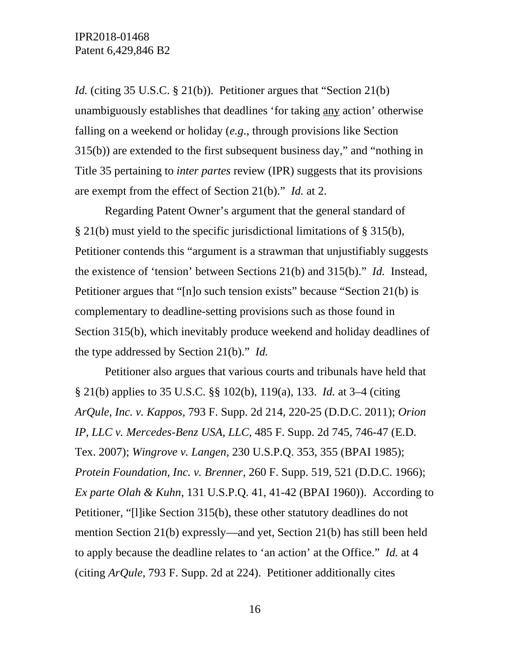*Id.* (citing 35 U.S.C. § 21(b)). Petitioner argues that "Section 21(b) unambiguously establishes that deadlines 'for taking any action' otherwise falling on a weekend or holiday (*e.g*., through provisions like Section 315(b)) are extended to the first subsequent business day," and "nothing in Title 35 pertaining to *inter partes* review (IPR) suggests that its provisions are exempt from the effect of Section 21(b)." *Id.* at 2.

Regarding Patent Owner's argument that the general standard of § 21(b) must yield to the specific jurisdictional limitations of § 315(b), Petitioner contends this "argument is a strawman that unjustifiably suggests the existence of 'tension' between Sections 21(b) and 315(b)." *Id.* Instead, Petitioner argues that "[n]o such tension exists" because "Section 21(b) is complementary to deadline-setting provisions such as those found in Section 315(b), which inevitably produce weekend and holiday deadlines of the type addressed by Section 21(b)." *Id.*

Petitioner also argues that various courts and tribunals have held that § 21(b) applies to 35 U.S.C. §§ 102(b), 119(a), 133. *Id.* at 3–4 (citing *ArQule, Inc. v. Kappos*, 793 F. Supp. 2d 214, 220-25 (D.D.C. 2011); *Orion IP*, *LLC v. Mercedes-Benz USA*, *LLC*, 485 F. Supp. 2d 745, 746-47 (E.D. Tex. 2007); *Wingrove v. Langen*, 230 U.S.P.Q. 353, 355 (BPAI 1985); *Protein Foundation*, *Inc. v. Brenner*, 260 F. Supp. 519, 521 (D.D.C. 1966); *Ex parte Olah & Kuhn*, 131 U.S.P.Q. 41, 41-42 (BPAI 1960)). According to Petitioner, "[l]ike Section 315(b), these other statutory deadlines do not mention Section 21(b) expressly—and yet, Section 21(b) has still been held to apply because the deadline relates to 'an action' at the Office." *Id.* at 4 (citing *ArQule*, 793 F. Supp. 2d at 224). Petitioner additionally cites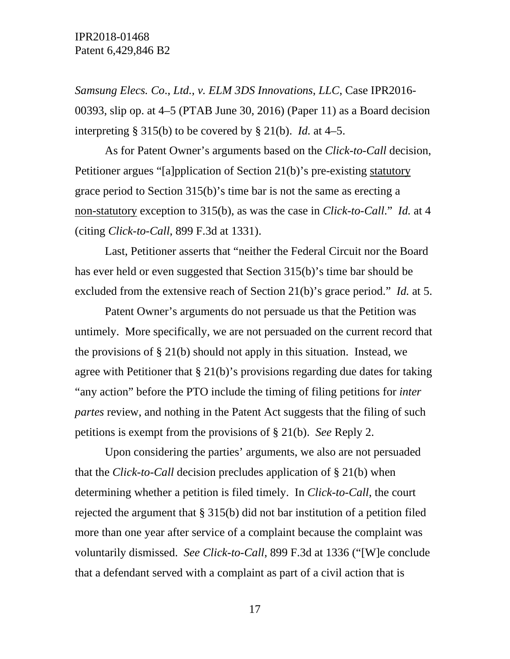*Samsung Elecs. Co*., *Ltd.*, *v. ELM 3DS Innovations*, *LLC*, Case IPR2016- 00393, slip op. at 4–5 (PTAB June 30, 2016) (Paper 11) as a Board decision interpreting § 315(b) to be covered by § 21(b). *Id.* at 4–5.

As for Patent Owner's arguments based on the *Click-to-Call* decision, Petitioner argues "[a]pplication of Section 21(b)'s pre-existing statutory grace period to Section 315(b)'s time bar is not the same as erecting a non-statutory exception to 315(b), as was the case in *Click-to-Call*." *Id.* at 4 (citing *Click-to-Call*, 899 F.3d at 1331).

Last, Petitioner asserts that "neither the Federal Circuit nor the Board has ever held or even suggested that Section 315(b)'s time bar should be excluded from the extensive reach of Section 21(b)'s grace period." *Id.* at 5.

Patent Owner's arguments do not persuade us that the Petition was untimely. More specifically, we are not persuaded on the current record that the provisions of  $\S 21(b)$  should not apply in this situation. Instead, we agree with Petitioner that  $\S 21(b)$ 's provisions regarding due dates for taking "any action" before the PTO include the timing of filing petitions for *inter partes* review, and nothing in the Patent Act suggests that the filing of such petitions is exempt from the provisions of § 21(b). *See* Reply 2.

Upon considering the parties' arguments, we also are not persuaded that the *Click-to-Call* decision precludes application of § 21(b) when determining whether a petition is filed timely. In *Click-to-Call*, the court rejected the argument that § 315(b) did not bar institution of a petition filed more than one year after service of a complaint because the complaint was voluntarily dismissed. *See Click-to-Call*, 899 F.3d at 1336 ("[W]e conclude that a defendant served with a complaint as part of a civil action that is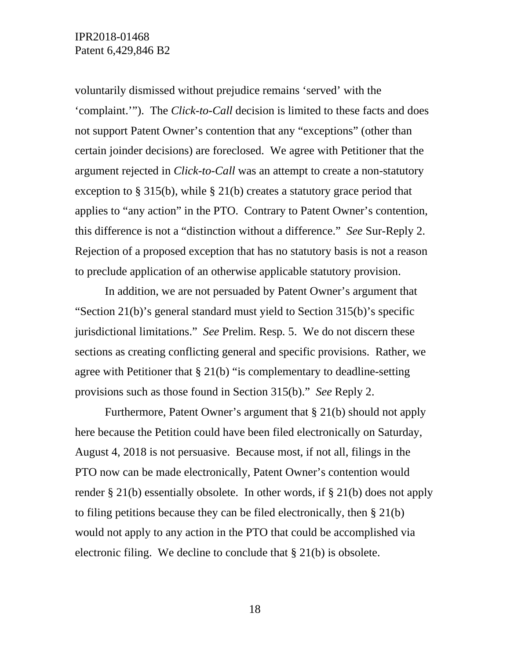voluntarily dismissed without prejudice remains 'served' with the 'complaint.'"). The *Click-to-Call* decision is limited to these facts and does not support Patent Owner's contention that any "exceptions" (other than certain joinder decisions) are foreclosed. We agree with Petitioner that the argument rejected in *Click-to-Call* was an attempt to create a non-statutory exception to § 315(b), while § 21(b) creates a statutory grace period that applies to "any action" in the PTO. Contrary to Patent Owner's contention, this difference is not a "distinction without a difference." *See* Sur-Reply 2. Rejection of a proposed exception that has no statutory basis is not a reason to preclude application of an otherwise applicable statutory provision.

In addition, we are not persuaded by Patent Owner's argument that "Section 21(b)'s general standard must yield to Section 315(b)'s specific jurisdictional limitations." *See* Prelim. Resp*.* 5. We do not discern these sections as creating conflicting general and specific provisions. Rather, we agree with Petitioner that § 21(b) "is complementary to deadline-setting provisions such as those found in Section 315(b)." *See* Reply 2.

Furthermore, Patent Owner's argument that § 21(b) should not apply here because the Petition could have been filed electronically on Saturday, August 4, 2018 is not persuasive. Because most, if not all, filings in the PTO now can be made electronically, Patent Owner's contention would render § 21(b) essentially obsolete. In other words, if § 21(b) does not apply to filing petitions because they can be filed electronically, then § 21(b) would not apply to any action in the PTO that could be accomplished via electronic filing. We decline to conclude that § 21(b) is obsolete.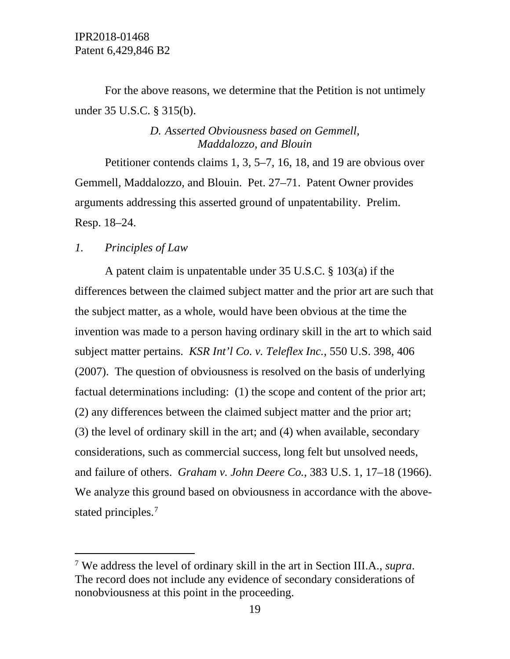For the above reasons, we determine that the Petition is not untimely under 35 U.S.C. § 315(b).

## *D. Asserted Obviousness based on Gemmell, Maddalozzo, and Blouin*

Petitioner contends claims 1, 3, 5–7, 16, 18, and 19 are obvious over Gemmell, Maddalozzo, and Blouin. Pet. 27–71. Patent Owner provides arguments addressing this asserted ground of unpatentability. Prelim. Resp. 18–24.

### *1. Principles of Law*

A patent claim is unpatentable under 35 U.S.C. § 103(a) if the differences between the claimed subject matter and the prior art are such that the subject matter, as a whole, would have been obvious at the time the invention was made to a person having ordinary skill in the art to which said subject matter pertains. *KSR Int'l Co. v. Teleflex Inc.*, 550 U.S. 398, 406 (2007). The question of obviousness is resolved on the basis of underlying factual determinations including: (1) the scope and content of the prior art; (2) any differences between the claimed subject matter and the prior art; (3) the level of ordinary skill in the art; and (4) when available, secondary considerations, such as commercial success, long felt but unsolved needs, and failure of others. *Graham v. John Deere Co.*, 383 U.S. 1, 17–18 (1966). We analyze this ground based on obviousness in accordance with the above-stated principles.<sup>[7](#page-18-0)</sup>

<span id="page-18-0"></span> <sup>7</sup> We address the level of ordinary skill in the art in Section III.A., *supra*. The record does not include any evidence of secondary considerations of nonobviousness at this point in the proceeding.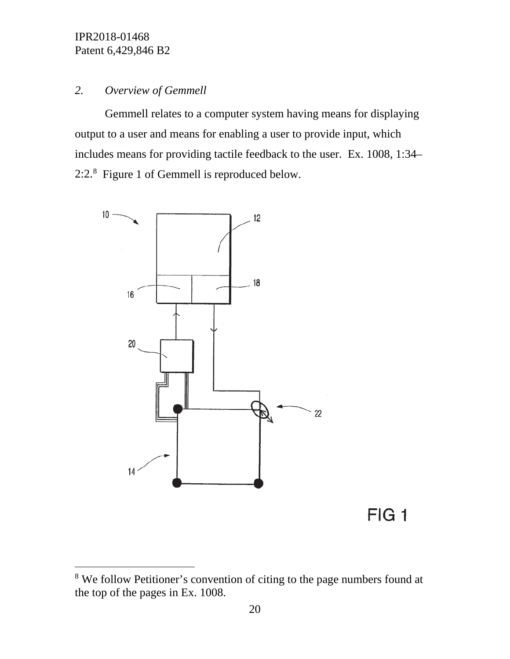## *2. Overview of Gemmell*

Gemmell relates to a computer system having means for displaying output to a user and means for enabling a user to provide input, which includes means for providing tactile feedback to the user. Ex. 1008, 1:34– 2:2.<sup>[8](#page-19-0)</sup> Figure 1 of Gemmell is reproduced below.



<span id="page-19-0"></span><sup>&</sup>lt;sup>8</sup> We follow Petitioner's convention of citing to the page numbers found at the top of the pages in Ex. 1008.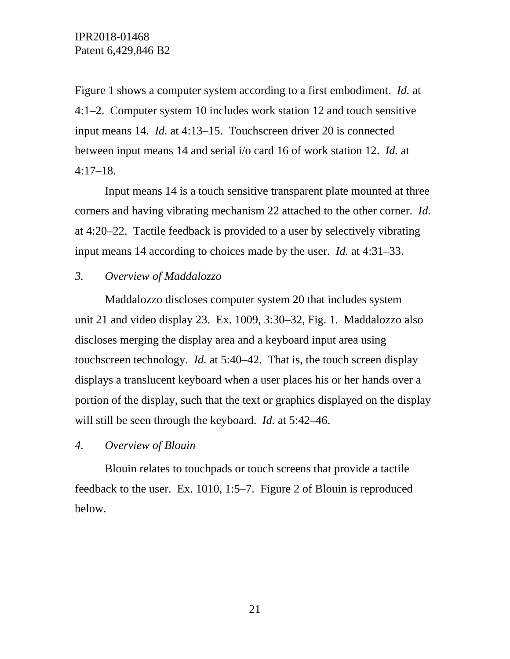Figure 1 shows a computer system according to a first embodiment. *Id.* at 4:1–2. Computer system 10 includes work station 12 and touch sensitive input means 14. *Id.* at 4:13–15. Touchscreen driver 20 is connected between input means 14 and serial i/o card 16 of work station 12. *Id.* at  $4:17-18$ .

Input means 14 is a touch sensitive transparent plate mounted at three corners and having vibrating mechanism 22 attached to the other corner. *Id.* at 4:20–22. Tactile feedback is provided to a user by selectively vibrating input means 14 according to choices made by the user. *Id.* at 4:31–33.

## *3. Overview of Maddalozzo*

Maddalozzo discloses computer system 20 that includes system unit 21 and video display 23. Ex. 1009, 3:30–32, Fig. 1. Maddalozzo also discloses merging the display area and a keyboard input area using touchscreen technology. *Id.* at 5:40–42. That is, the touch screen display displays a translucent keyboard when a user places his or her hands over a portion of the display, such that the text or graphics displayed on the display will still be seen through the keyboard. *Id.* at 5:42–46.

## *4. Overview of Blouin*

Blouin relates to touchpads or touch screens that provide a tactile feedback to the user. Ex. 1010, 1:5–7. Figure 2 of Blouin is reproduced below.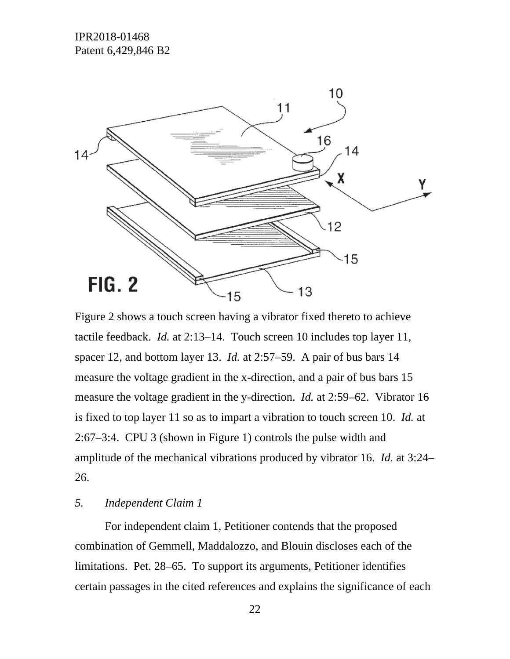

Figure 2 shows a touch screen having a vibrator fixed thereto to achieve tactile feedback. *Id.* at 2:13–14. Touch screen 10 includes top layer 11, spacer 12, and bottom layer 13. *Id.* at 2:57–59. A pair of bus bars 14 measure the voltage gradient in the x-direction, and a pair of bus bars 15 measure the voltage gradient in the y-direction. *Id.* at 2:59–62. Vibrator 16 is fixed to top layer 11 so as to impart a vibration to touch screen 10. *Id.* at 2:67–3:4. CPU 3 (shown in Figure 1) controls the pulse width and amplitude of the mechanical vibrations produced by vibrator 16. *Id.* at 3:24– 26.

## *5. Independent Claim 1*

For independent claim 1, Petitioner contends that the proposed combination of Gemmell, Maddalozzo, and Blouin discloses each of the limitations. Pet. 28–65. To support its arguments, Petitioner identifies certain passages in the cited references and explains the significance of each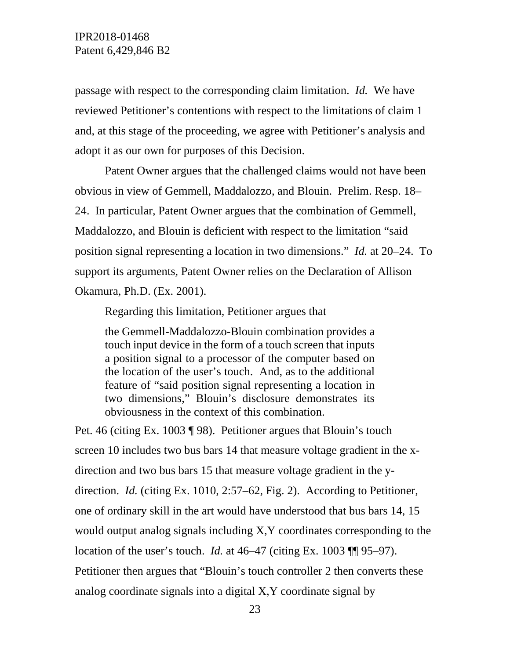passage with respect to the corresponding claim limitation. *Id.* We have reviewed Petitioner's contentions with respect to the limitations of claim 1 and, at this stage of the proceeding, we agree with Petitioner's analysis and adopt it as our own for purposes of this Decision.

Patent Owner argues that the challenged claims would not have been obvious in view of Gemmell, Maddalozzo, and Blouin. Prelim. Resp. 18– 24. In particular, Patent Owner argues that the combination of Gemmell, Maddalozzo, and Blouin is deficient with respect to the limitation "said position signal representing a location in two dimensions." *Id.* at 20–24. To support its arguments, Patent Owner relies on the Declaration of Allison Okamura, Ph.D. (Ex. 2001).

Regarding this limitation, Petitioner argues that

the Gemmell-Maddalozzo-Blouin combination provides a touch input device in the form of a touch screen that inputs a position signal to a processor of the computer based on the location of the user's touch. And, as to the additional feature of "said position signal representing a location in two dimensions," Blouin's disclosure demonstrates its obviousness in the context of this combination.

Pet. 46 (citing Ex. 1003 ¶ 98). Petitioner argues that Blouin's touch screen 10 includes two bus bars 14 that measure voltage gradient in the xdirection and two bus bars 15 that measure voltage gradient in the ydirection. *Id.* (citing Ex. 1010, 2:57–62, Fig. 2). According to Petitioner, one of ordinary skill in the art would have understood that bus bars 14, 15 would output analog signals including X,Y coordinates corresponding to the location of the user's touch. *Id.* at 46–47 (citing Ex. 1003 ¶¶ 95–97). Petitioner then argues that "Blouin's touch controller 2 then converts these analog coordinate signals into a digital X,Y coordinate signal by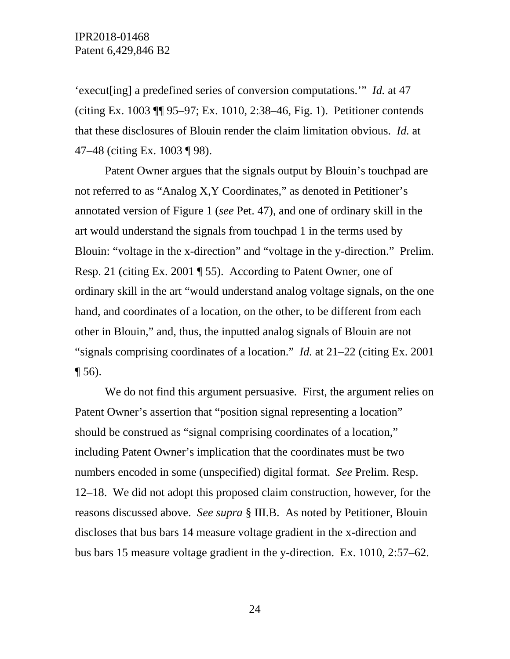'execut[ing] a predefined series of conversion computations.'" *Id.* at 47 (citing Ex. 1003 ¶¶ 95–97; Ex. 1010, 2:38–46, Fig. 1). Petitioner contends that these disclosures of Blouin render the claim limitation obvious. *Id.* at 47–48 (citing Ex. 1003 ¶ 98).

Patent Owner argues that the signals output by Blouin's touchpad are not referred to as "Analog X,Y Coordinates," as denoted in Petitioner's annotated version of Figure 1 (*see* Pet. 47), and one of ordinary skill in the art would understand the signals from touchpad 1 in the terms used by Blouin: "voltage in the x-direction" and "voltage in the y-direction." Prelim. Resp. 21 (citing Ex. 2001 ¶ 55). According to Patent Owner, one of ordinary skill in the art "would understand analog voltage signals, on the one hand, and coordinates of a location, on the other, to be different from each other in Blouin," and, thus, the inputted analog signals of Blouin are not "signals comprising coordinates of a location." *Id.* at 21–22 (citing Ex. 2001  $\P$  56).

We do not find this argument persuasive. First, the argument relies on Patent Owner's assertion that "position signal representing a location" should be construed as "signal comprising coordinates of a location," including Patent Owner's implication that the coordinates must be two numbers encoded in some (unspecified) digital format. *See* Prelim. Resp. 12–18. We did not adopt this proposed claim construction, however, for the reasons discussed above. *See supra* § III.B. As noted by Petitioner, Blouin discloses that bus bars 14 measure voltage gradient in the x-direction and bus bars 15 measure voltage gradient in the y-direction. Ex. 1010, 2:57–62.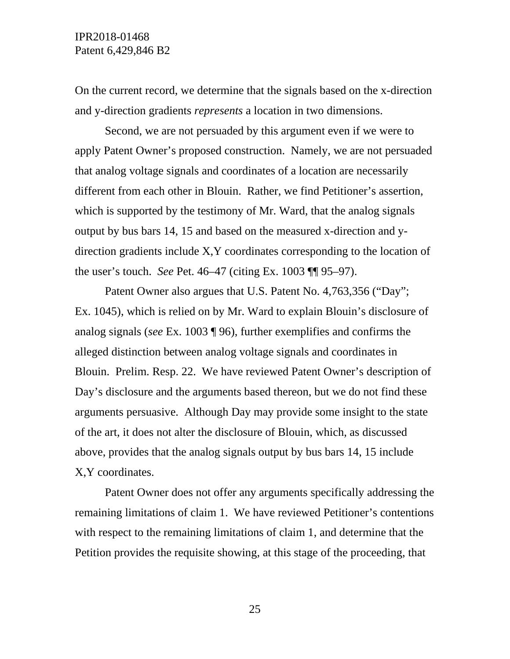On the current record, we determine that the signals based on the x-direction and y-direction gradients *represents* a location in two dimensions.

Second, we are not persuaded by this argument even if we were to apply Patent Owner's proposed construction. Namely, we are not persuaded that analog voltage signals and coordinates of a location are necessarily different from each other in Blouin. Rather, we find Petitioner's assertion, which is supported by the testimony of Mr. Ward, that the analog signals output by bus bars 14, 15 and based on the measured x-direction and ydirection gradients include X,Y coordinates corresponding to the location of the user's touch. *See* Pet. 46–47 (citing Ex. 1003 ¶¶ 95–97).

Patent Owner also argues that U.S. Patent No. 4,763,356 ("Day"; Ex. 1045), which is relied on by Mr. Ward to explain Blouin's disclosure of analog signals (*see* Ex. 1003 ¶ 96), further exemplifies and confirms the alleged distinction between analog voltage signals and coordinates in Blouin. Prelim. Resp. 22. We have reviewed Patent Owner's description of Day's disclosure and the arguments based thereon, but we do not find these arguments persuasive. Although Day may provide some insight to the state of the art, it does not alter the disclosure of Blouin, which, as discussed above, provides that the analog signals output by bus bars 14, 15 include X,Y coordinates.

Patent Owner does not offer any arguments specifically addressing the remaining limitations of claim 1. We have reviewed Petitioner's contentions with respect to the remaining limitations of claim 1, and determine that the Petition provides the requisite showing, at this stage of the proceeding, that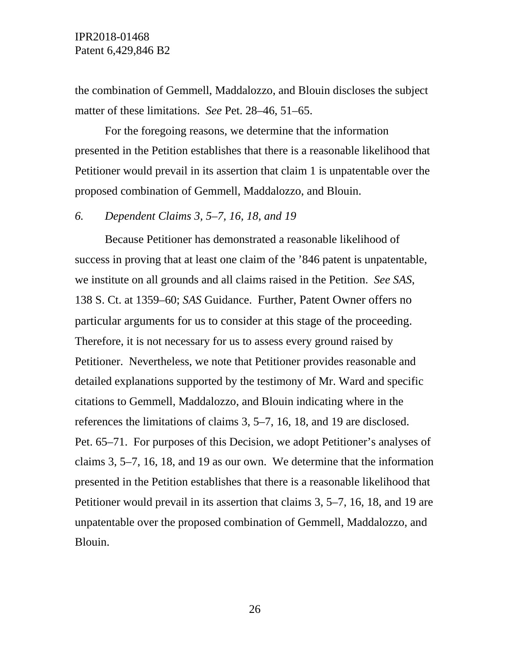the combination of Gemmell, Maddalozzo, and Blouin discloses the subject matter of these limitations. *See* Pet. 28–46, 51–65.

For the foregoing reasons, we determine that the information presented in the Petition establishes that there is a reasonable likelihood that Petitioner would prevail in its assertion that claim 1 is unpatentable over the proposed combination of Gemmell, Maddalozzo, and Blouin.

## *6. Dependent Claims 3, 5–7, 16, 18, and 19*

Because Petitioner has demonstrated a reasonable likelihood of success in proving that at least one claim of the '846 patent is unpatentable, we institute on all grounds and all claims raised in the Petition. *See SAS*, 138 S. Ct. at 1359–60; *SAS* Guidance. Further, Patent Owner offers no particular arguments for us to consider at this stage of the proceeding. Therefore, it is not necessary for us to assess every ground raised by Petitioner. Nevertheless, we note that Petitioner provides reasonable and detailed explanations supported by the testimony of Mr. Ward and specific citations to Gemmell, Maddalozzo, and Blouin indicating where in the references the limitations of claims 3, 5–7, 16, 18, and 19 are disclosed. Pet. 65–71. For purposes of this Decision, we adopt Petitioner's analyses of claims 3, 5–7, 16, 18, and 19 as our own. We determine that the information presented in the Petition establishes that there is a reasonable likelihood that Petitioner would prevail in its assertion that claims 3, 5–7, 16, 18, and 19 are unpatentable over the proposed combination of Gemmell, Maddalozzo, and Blouin.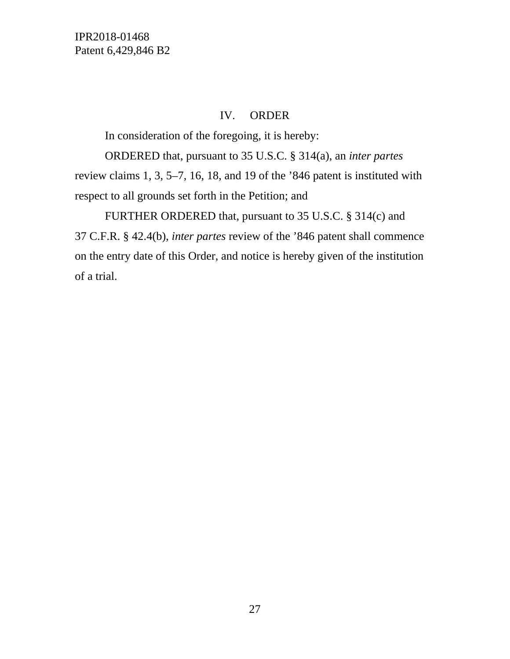IPR2018-01468 Patent 6,429,846 B2

## IV. ORDER

In consideration of the foregoing, it is hereby:

ORDERED that, pursuant to 35 U.S.C. § 314(a), an *inter partes* review claims 1, 3, 5–7, 16, 18, and 19 of the '846 patent is instituted with respect to all grounds set forth in the Petition; and

FURTHER ORDERED that, pursuant to 35 U.S.C. § 314(c) and 37 C.F.R. § 42.4(b), *inter partes* review of the '846 patent shall commence on the entry date of this Order, and notice is hereby given of the institution of a trial.